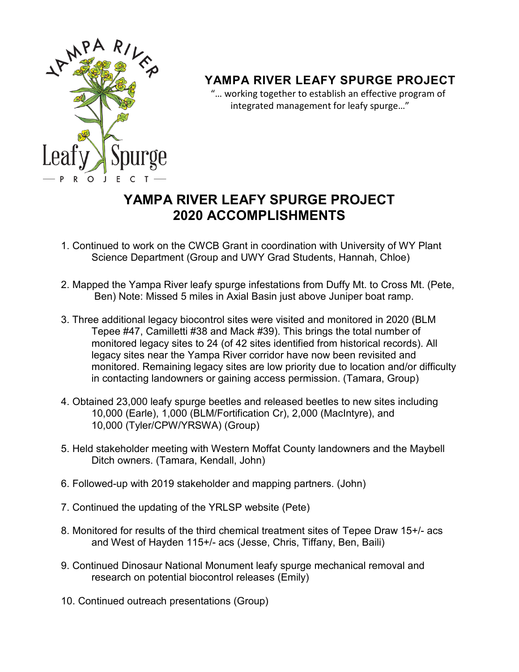

## **YAMPA RIVER LEAFY SPURGE PROJECT**

 "… working together to establish an effective program of integrated management for leafy spurge…"

## **YAMPA RIVER LEAFY SPURGE PROJECT 2020 ACCOMPLISHMENTS**

- 1. Continued to work on the CWCB Grant in coordination with University of WY Plant Science Department (Group and UWY Grad Students, Hannah, Chloe)
- 2. Mapped the Yampa River leafy spurge infestations from Duffy Mt. to Cross Mt. (Pete, Ben) Note: Missed 5 miles in Axial Basin just above Juniper boat ramp.
- 3. Three additional legacy biocontrol sites were visited and monitored in 2020 (BLM Tepee #47, Camilletti #38 and Mack #39). This brings the total number of monitored legacy sites to 24 (of 42 sites identified from historical records). All legacy sites near the Yampa River corridor have now been revisited and monitored. Remaining legacy sites are low priority due to location and/or difficulty in contacting landowners or gaining access permission. (Tamara, Group)
- 4. Obtained 23,000 leafy spurge beetles and released beetles to new sites including 10,000 (Earle), 1,000 (BLM/Fortification Cr), 2,000 (MacIntyre), and 10,000 (Tyler/CPW/YRSWA) (Group)
- 5. Held stakeholder meeting with Western Moffat County landowners and the Maybell Ditch owners. (Tamara, Kendall, John)
- 6. Followed-up with 2019 stakeholder and mapping partners. (John)
- 7. Continued the updating of the YRLSP website (Pete)
- 8. Monitored for results of the third chemical treatment sites of Tepee Draw 15+/- acs and West of Hayden 115+/- acs (Jesse, Chris, Tiffany, Ben, Baili)
- 9. Continued Dinosaur National Monument leafy spurge mechanical removal and research on potential biocontrol releases (Emily)
- 10. Continued outreach presentations (Group)